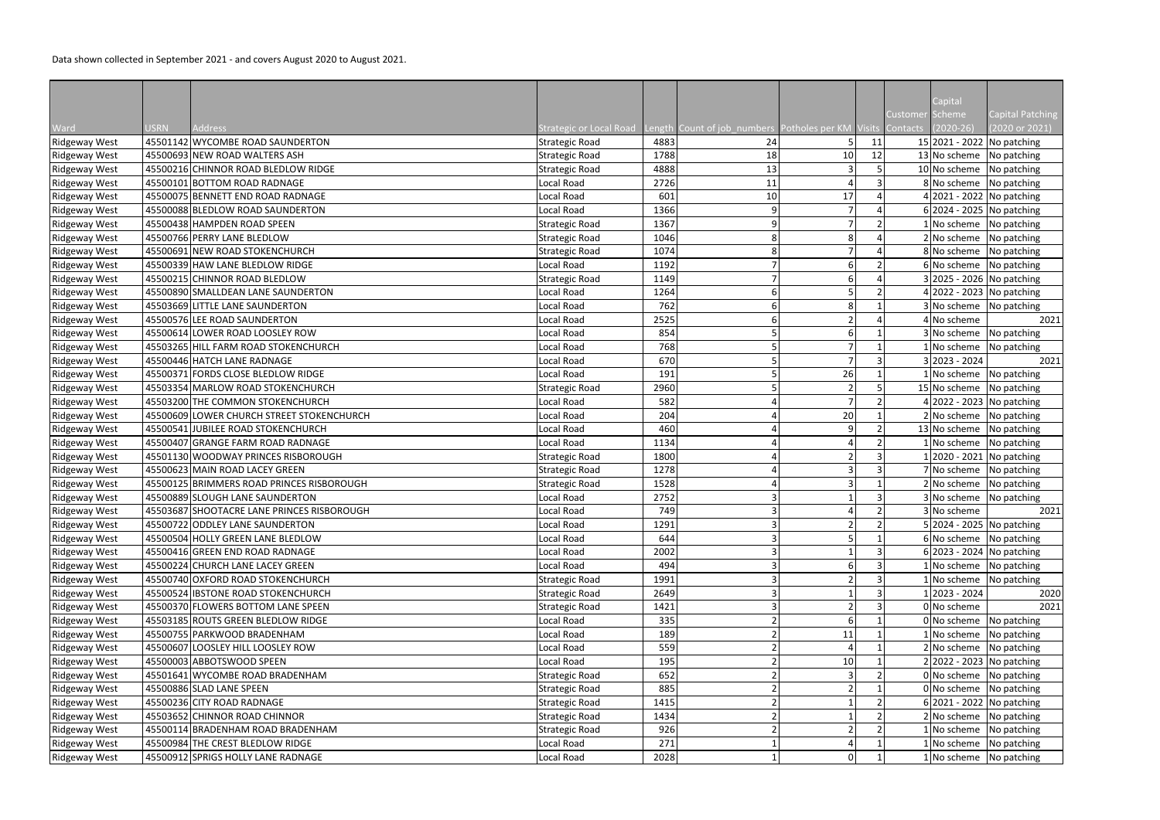Data shown collected in September 2021 - and covers August 2020 to August 2021.

|                      |             |                                            |                                                                            |      |    |    |    | Capital<br>Customer                       | <b>Capital Patching</b> |
|----------------------|-------------|--------------------------------------------|----------------------------------------------------------------------------|------|----|----|----|-------------------------------------------|-------------------------|
| Ward                 | <b>USRN</b> | Address                                    | Strategic or Local Road Length Count of job_numbers Potholes per KM Visits |      |    |    |    | Schemel<br>$(2020-26)$<br><b>Contacts</b> | (2020 or 2021)          |
| Ridgeway West        |             | 45501142 WYCOMBE ROAD SAUNDERTON           | <b>Strategic Road</b>                                                      | 4883 | 24 |    | 11 | 15 2021 - 2022 No patching                |                         |
| <b>Ridgeway West</b> |             | 45500693 NEW ROAD WALTERS ASH              | <b>Strategic Road</b>                                                      | 1788 | 18 | 10 | 12 | 13 No scheme No patching                  |                         |
| <b>Ridgeway West</b> |             | 45500216 CHINNOR ROAD BLEDLOW RIDGE        | <b>Strategic Road</b>                                                      | 4888 | 13 |    |    | 10 No scheme No patching                  |                         |
| <b>Ridgeway West</b> |             | 45500101 BOTTOM ROAD RADNAGE               | Local Road                                                                 | 2726 | 11 |    |    | 8 No scheme No patching                   |                         |
| <b>Ridgeway West</b> |             | 45500075 BENNETT END ROAD RADNAGE          | Local Road                                                                 | 601  | 10 | 17 |    | 4 2021 - 2022 No patching                 |                         |
| <b>Ridgeway West</b> |             | 45500088 BLEDLOW ROAD SAUNDERTON           | Local Road                                                                 | 1366 | 9  |    |    | 6 2024 - 2025 No patching                 |                         |
| Ridgeway West        |             | 45500438 HAMPDEN ROAD SPEEN                | <b>Strategic Road</b>                                                      | 1367 | 9  |    |    | 1 No scheme No patching                   |                         |
| Ridgeway West        |             | 45500766 PERRY LANE BLEDLOW                | <b>Strategic Road</b>                                                      | 1046 |    |    |    | 2 No scheme No patching                   |                         |
| Ridgeway West        |             | 45500691 NEW ROAD STOKENCHURCH             | <b>Strategic Road</b>                                                      | 1074 |    |    |    | 8 No scheme No patching                   |                         |
| Ridgeway West        |             | 45500339 HAW LANE BLEDLOW RIDGE            | Local Road                                                                 | 1192 |    |    |    | 6 No scheme No patching                   |                         |
| Ridgeway West        |             | 45500215 CHINNOR ROAD BLEDLOW              | <b>Strategic Road</b>                                                      | 1149 |    |    |    | 3 2025 - 2026 No patching                 |                         |
| Ridgeway West        |             | 45500890 SMALLDEAN LANE SAUNDERTON         | Local Road                                                                 | 1264 | 6  |    |    | 4 2022 - 2023 No patching                 |                         |
| <b>Ridgeway West</b> |             | 45503669 LITTLE LANE SAUNDERTON            | Local Road                                                                 | 762  | 6  |    |    | 3 No scheme No patching                   |                         |
| Ridgeway West        |             | 45500576 LEE ROAD SAUNDERTON               | Local Road                                                                 | 2525 |    |    |    | 4 No scheme                               | 2021                    |
| Ridgeway West        |             | 45500614 LOWER ROAD LOOSLEY ROW            | Local Road                                                                 | 854  |    |    |    | 3 No scheme No patching                   |                         |
| Ridgeway West        |             | 45503265 HILL FARM ROAD STOKENCHURCH       | Local Road                                                                 | 768  |    |    |    | INo scheme No patching                    |                         |
| <b>Ridgeway West</b> |             | 45500446 HATCH LANE RADNAGE                | Local Road                                                                 | 670  |    |    |    | 3 2023 - 2024                             | 2021                    |
| <b>Ridgeway West</b> |             | 45500371 FORDS CLOSE BLEDLOW RIDGE         | Local Road                                                                 | 191  |    | 26 |    | 1 No scheme No patching                   |                         |
| <b>Ridgeway West</b> |             | 45503354 MARLOW ROAD STOKENCHURCH          | <b>Strategic Road</b>                                                      | 2960 |    |    |    | 15 No scheme No patching                  |                         |
| <b>Ridgeway West</b> |             | 45503200 THE COMMON STOKENCHURCH           | Local Road                                                                 | 582  |    |    |    | 4 2022 - 2023 No patching                 |                         |
| Ridgeway West        |             | 45500609 LOWER CHURCH STREET STOKENCHURCH  | Local Road                                                                 | 204  |    | 20 |    | 2 No scheme No patching                   |                         |
| <b>Ridgeway West</b> |             | 45500541 JUBILEE ROAD STOKENCHURCH         | Local Road                                                                 | 460  |    | Q  |    | 13 No scheme                              | No patching             |
| <b>Ridgeway West</b> |             | 45500407 GRANGE FARM ROAD RADNAGE          | Local Road                                                                 | 1134 |    |    |    | No scheme No patching                     |                         |
| <b>Ridgeway West</b> |             | 45501130 WOODWAY PRINCES RISBOROUGH        | <b>Strategic Road</b>                                                      | 1800 |    |    |    | 2020 - 2021 No patching                   |                         |
| Ridgeway West        |             | 45500623 MAIN ROAD LACEY GREEN             | <b>Strategic Road</b>                                                      | 1278 |    |    |    | 7 No scheme No patching                   |                         |
| <b>Ridgeway West</b> |             | 45500125 BRIMMERS ROAD PRINCES RISBOROUGH  | <b>Strategic Road</b>                                                      | 1528 |    |    |    | 2 No scheme No patching                   |                         |
| Ridgeway West        |             | 45500889 SLOUGH LANE SAUNDERTON            | Local Road                                                                 | 2752 |    |    |    | 3 No scheme No patching                   |                         |
| <b>Ridgeway West</b> |             | 45503687 SHOOTACRE LANE PRINCES RISBOROUGH | Local Road                                                                 | 749  | 3  |    |    | 3 No scheme                               | 2021                    |
| <b>Ridgeway West</b> |             | 45500722 ODDLEY LANE SAUNDERTON            | Local Road                                                                 | 1291 | 3  |    |    | 5 2024 - 2025 No patching                 |                         |
| Ridgeway West        |             | 45500504 HOLLY GREEN LANE BLEDLOW          | Local Road                                                                 | 644  |    |    |    | 6 No scheme No patching                   |                         |
| <b>Ridgeway West</b> |             | 45500416 GREEN END ROAD RADNAGE            | Local Road                                                                 | 2002 |    |    |    | 6 2023 - 2024 No patching                 |                         |
| <b>Ridgeway West</b> |             | 45500224 CHURCH LANE LACEY GREEN           | Local Road                                                                 | 494  |    |    |    | No scheme No patching                     |                         |
| <b>Ridgeway West</b> |             | 45500740 OXFORD ROAD STOKENCHURCH          | <b>Strategic Road</b>                                                      | 1991 |    |    |    | No scheme No patching                     |                         |
| <b>Ridgeway West</b> |             | 45500524 IBSTONE ROAD STOKENCHURCH         | <b>Strategic Road</b>                                                      | 2649 |    |    |    | 2023 - 2024                               | 2020                    |
| <b>Ridgeway West</b> |             | 45500370 FLOWERS BOTTOM LANE SPEEN         | <b>Strategic Road</b>                                                      | 1421 |    |    |    | 0 No scheme                               | 2021                    |
| <b>Ridgeway West</b> |             | 45503185 ROUTS GREEN BLEDLOW RIDGE         | Local Road                                                                 | 335  |    |    |    | $0 $ No scheme   No patching              |                         |
| <b>Ridgeway West</b> |             | 45500755 PARKWOOD BRADENHAM                | Local Road                                                                 | 189  |    | 11 |    | No scheme No patching                     |                         |
| <b>Ridgeway West</b> |             | 45500607 LOOSLEY HILL LOOSLEY ROW          | Local Road                                                                 | 559  |    |    |    | 2 No scheme                               | No patching             |
| <b>Ridgeway West</b> |             | 45500003 ABBOTSWOOD SPEEN                  | Local Road                                                                 | 195  |    | 10 |    | 2 2022 - 2023   No patching               |                         |
| <b>Ridgeway West</b> |             | 45501641 WYCOMBE ROAD BRADENHAM            | <b>Strategic Road</b>                                                      | 652  |    |    |    | $0 $ No scheme   No patching              |                         |
| <b>Ridgeway West</b> |             | 45500886 SLAD LANE SPEEN                   | <b>Strategic Road</b>                                                      | 885  |    |    |    | 0 No scheme No patching                   |                         |
| <b>Ridgeway West</b> |             | 45500236 CITY ROAD RADNAGE                 | <b>Strategic Road</b>                                                      | 1415 |    |    |    | 6 2021 - 2022 No patching                 |                         |
| Ridgeway West        |             | 45503652 CHINNOR ROAD CHINNOR              | <b>Strategic Road</b>                                                      | 1434 |    |    |    | 2 No scheme No patching                   |                         |
| <b>Ridgeway West</b> |             | 45500114 BRADENHAM ROAD BRADENHAM          | <b>Strategic Road</b>                                                      | 926  |    |    |    | No scheme                                 | No patching             |
| <b>Ridgeway West</b> |             | 45500984 THE CREST BLEDLOW RIDGE           | Local Road                                                                 | 271  |    |    |    | No scheme   No patching                   |                         |
| <b>Ridgeway West</b> |             | 45500912 SPRIGS HOLLY LANE RADNAGE         | Local Road                                                                 | 2028 |    |    |    | No scheme No patching                     |                         |